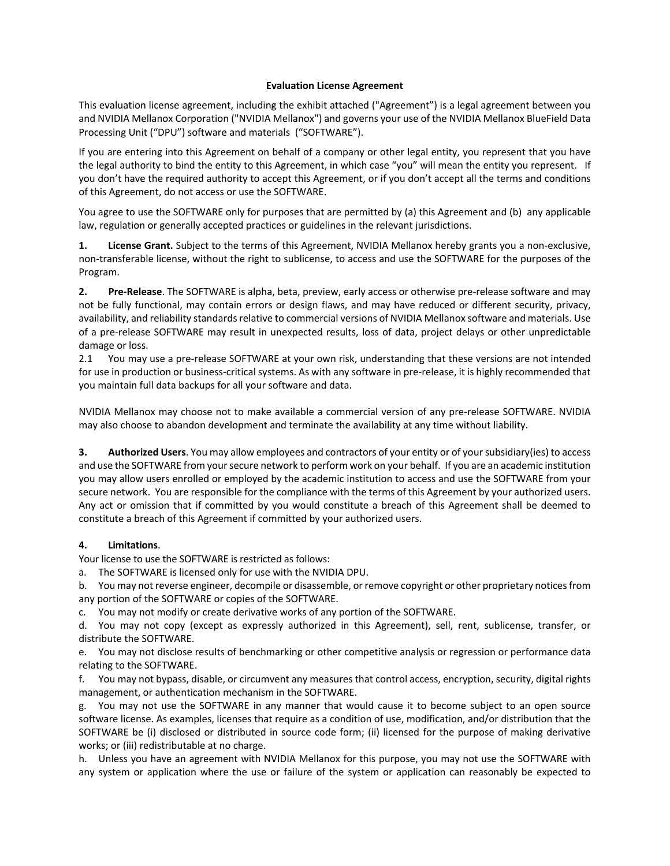#### **Evaluation License Agreement**

This evaluation license agreement, including the exhibit attached ("Agreement") is a legal agreement between you and NVIDIA Mellanox Corporation ("NVIDIA Mellanox") and governs your use of the NVIDIA Mellanox BlueField Data Processing Unit ("DPU") software and materials ("SOFTWARE").

If you are entering into this Agreement on behalf of a company or other legal entity, you represent that you have the legal authority to bind the entity to this Agreement, in which case "you" will mean the entity you represent. If you don't have the required authority to accept this Agreement, or if you don't accept all the terms and conditions of this Agreement, do not access or use the SOFTWARE.

You agree to use the SOFTWARE only for purposes that are permitted by (a) this Agreement and (b) any applicable law, regulation or generally accepted practices or guidelines in the relevant jurisdictions.

**1. License Grant.** Subject to the terms of this Agreement, NVIDIA Mellanox hereby grants you a non‐exclusive, non-transferable license, without the right to sublicense, to access and use the SOFTWARE for the purposes of the Program.

**2. Pre‐Release**. The SOFTWARE is alpha, beta, preview, early access or otherwise pre‐release software and may not be fully functional, may contain errors or design flaws, and may have reduced or different security, privacy, availability, and reliability standards relative to commercial versions of NVIDIA Mellanox software and materials. Use of a pre‐release SOFTWARE may result in unexpected results, loss of data, project delays or other unpredictable damage or loss.

2.1 You may use a pre-release SOFTWARE at your own risk, understanding that these versions are not intended for use in production or business-critical systems. As with any software in pre-release, it is highly recommended that you maintain full data backups for all your software and data.

NVIDIA Mellanox may choose not to make available a commercial version of any pre‐release SOFTWARE. NVIDIA may also choose to abandon development and terminate the availability at any time without liability.

**3. Authorized Users**. You may allow employees and contractors of your entity or of yoursubsidiary(ies) to access and use the SOFTWARE from your secure network to perform work on your behalf. If you are an academic institution you may allow users enrolled or employed by the academic institution to access and use the SOFTWARE from your secure network. You are responsible for the compliance with the terms of this Agreement by your authorized users. Any act or omission that if committed by you would constitute a breach of this Agreement shall be deemed to constitute a breach of this Agreement if committed by your authorized users.

### **4. Limitations**.

Your license to use the SOFTWARE is restricted as follows:

a. The SOFTWARE is licensed only for use with the NVIDIA DPU.

b. You may not reverse engineer, decompile or disassemble, or remove copyright or other proprietary noticesfrom any portion of the SOFTWARE or copies of the SOFTWARE.

c. You may not modify or create derivative works of any portion of the SOFTWARE.

d. You may not copy (except as expressly authorized in this Agreement), sell, rent, sublicense, transfer, or distribute the SOFTWARE.

e. You may not disclose results of benchmarking or other competitive analysis or regression or performance data relating to the SOFTWARE.

f. You may not bypass, disable, or circumvent any measures that control access, encryption, security, digital rights management, or authentication mechanism in the SOFTWARE.

g. You may not use the SOFTWARE in any manner that would cause it to become subject to an open source software license. As examples, licenses that require as a condition of use, modification, and/or distribution that the SOFTWARE be (i) disclosed or distributed in source code form; (ii) licensed for the purpose of making derivative works; or (iii) redistributable at no charge.

h. Unless you have an agreement with NVIDIA Mellanox for this purpose, you may not use the SOFTWARE with any system or application where the use or failure of the system or application can reasonably be expected to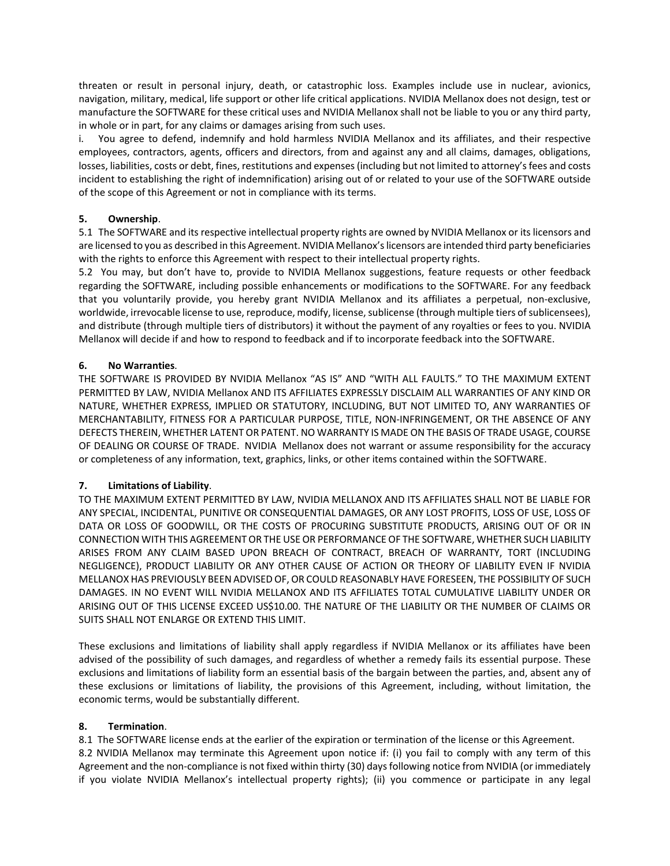threaten or result in personal injury, death, or catastrophic loss. Examples include use in nuclear, avionics, navigation, military, medical, life support or other life critical applications. NVIDIA Mellanox does not design, test or manufacture the SOFTWARE for these critical uses and NVIDIA Mellanox shall not be liable to you or any third party, in whole or in part, for any claims or damages arising from such uses.

i. You agree to defend, indemnify and hold harmless NVIDIA Mellanox and its affiliates, and their respective employees, contractors, agents, officers and directors, from and against any and all claims, damages, obligations, losses, liabilities, costs or debt, fines, restitutions and expenses (including but not limited to attorney's fees and costs incident to establishing the right of indemnification) arising out of or related to your use of the SOFTWARE outside of the scope of this Agreement or not in compliance with its terms.

### **5. Ownership**.

5.1 The SOFTWARE and its respective intellectual property rights are owned by NVIDIA Mellanox or its licensors and are licensed to you as described in this Agreement. NVIDIA Mellanox'slicensors are intended third party beneficiaries with the rights to enforce this Agreement with respect to their intellectual property rights.

5.2 You may, but don't have to, provide to NVIDIA Mellanox suggestions, feature requests or other feedback regarding the SOFTWARE, including possible enhancements or modifications to the SOFTWARE. For any feedback that you voluntarily provide, you hereby grant NVIDIA Mellanox and its affiliates a perpetual, non‐exclusive, worldwide, irrevocable license to use, reproduce, modify, license, sublicense (through multiple tiers of sublicensees), and distribute (through multiple tiers of distributors) it without the payment of any royalties or fees to you. NVIDIA Mellanox will decide if and how to respond to feedback and if to incorporate feedback into the SOFTWARE.

## **6. No Warranties**.

THE SOFTWARE IS PROVIDED BY NVIDIA Mellanox "AS IS" AND "WITH ALL FAULTS." TO THE MAXIMUM EXTENT PERMITTED BY LAW, NVIDIA Mellanox AND ITS AFFILIATES EXPRESSLY DISCLAIM ALL WARRANTIES OF ANY KIND OR NATURE, WHETHER EXPRESS, IMPLIED OR STATUTORY, INCLUDING, BUT NOT LIMITED TO, ANY WARRANTIES OF MERCHANTABILITY, FITNESS FOR A PARTICULAR PURPOSE, TITLE, NON‐INFRINGEMENT, OR THE ABSENCE OF ANY DEFECTS THEREIN, WHETHER LATENT OR PATENT. NO WARRANTY IS MADE ON THE BASIS OF TRADE USAGE, COURSE OF DEALING OR COURSE OF TRADE. NVIDIA Mellanox does not warrant or assume responsibility for the accuracy or completeness of any information, text, graphics, links, or other items contained within the SOFTWARE.

# **7. Limitations of Liability**.

TO THE MAXIMUM EXTENT PERMITTED BY LAW, NVIDIA MELLANOX AND ITS AFFILIATES SHALL NOT BE LIABLE FOR ANY SPECIAL, INCIDENTAL, PUNITIVE OR CONSEQUENTIAL DAMAGES, OR ANY LOST PROFITS, LOSS OF USE, LOSS OF DATA OR LOSS OF GOODWILL, OR THE COSTS OF PROCURING SUBSTITUTE PRODUCTS, ARISING OUT OF OR IN CONNECTION WITH THIS AGREEMENTOR THE USE OR PERFORMANCE OF THE SOFTWARE, WHETHER SUCH LIABILITY ARISES FROM ANY CLAIM BASED UPON BREACH OF CONTRACT, BREACH OF WARRANTY, TORT (INCLUDING NEGLIGENCE), PRODUCT LIABILITY OR ANY OTHER CAUSE OF ACTION OR THEORY OF LIABILITY EVEN IF NVIDIA MELLANOX HAS PREVIOUSLY BEEN ADVISEDOF,OR COULD REASONABLY HAVE FORESEEN, THE POSSIBILITY OF SUCH DAMAGES. IN NO EVENT WILL NVIDIA MELLANOX AND ITS AFFILIATES TOTAL CUMULATIVE LIABILITY UNDER OR ARISING OUT OF THIS LICENSE EXCEED US\$10.00. THE NATURE OF THE LIABILITY OR THE NUMBER OF CLAIMS OR SUITS SHALL NOT ENLARGE OR EXTEND THIS LIMIT.

These exclusions and limitations of liability shall apply regardless if NVIDIA Mellanox or its affiliates have been advised of the possibility of such damages, and regardless of whether a remedy fails its essential purpose. These exclusions and limitations of liability form an essential basis of the bargain between the parties, and, absent any of these exclusions or limitations of liability, the provisions of this Agreement, including, without limitation, the economic terms, would be substantially different.

### **8. Termination**.

8.1 The SOFTWARE license ends at the earlier of the expiration or termination of the license or this Agreement. 8.2 NVIDIA Mellanox may terminate this Agreement upon notice if: (i) you fail to comply with any term of this Agreement and the non‐compliance is not fixed within thirty (30) days following notice from NVIDIA (or immediately if you violate NVIDIA Mellanox's intellectual property rights); (ii) you commence or participate in any legal